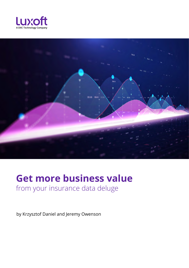



# **Get more business value** from your insurance data deluge

by Krzysztof Daniel and Jeremy Owenson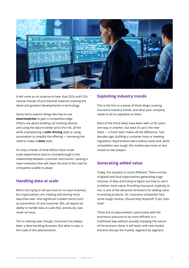

It will come as no surprise to hear that CEOs and CIOs receive masses of promotional material covering the latest and greatest developments in technology.

Some items explore things like how to use **[smartwatches](https://www.theverge.com/circuitbreaker/2018/3/7/17092286/unitedhealthcare-motion-apple-watch-fitness-tracking-reward-program)** to gain a competitive edge. Others are about building car-tracking devices and using the data to better-price the risk, all the while championing a **[safer driving](https://media.gm.com/media/us/en/gm/home.detail.html/content/Pages/news/us/en/2020/nov/1118-onstar.html)** style or using automation to simplify the offering — removing the need to make a **[claim](https://www.swissre.com/reinsurance/property-and-casualty/solutions/parametric-solutions/parametric-flight-delay-insurance.html)** even.

It's only a matter of time before these smallscale experiments lead to a breakthrough in the relationship between customer and insurer, causing a near-revolution that will mean the end of the road for companies unable to adapt.

#### **Handling data at scale**

We're not trying to tell you how to run your business, but organizations are creating and storing more data than ever. And significant modern terms such as automation, AI and customer 360, all require an ability to handle data at scale that, previously, was never an issue.

This is nothing new, though. Insurance has always been a data-handling business. But what is new, is the scale of this phenomenon.

### **Exploiting industry trends**

This is the first in a series of three blogs covering insurance industry trends, and what your company needs to do to capitalize on them.

Most of the trend ideas have been with us for years one way or another, but ease of use is the new black — a fresh slant makes all the difference. Two decades ago, building a customer base or meeting regulatory requirements were tedious tasks and, while competition was tough, the market was more or less closed to new players.

#### **Generating added value**

Today, the situation is much different. There are lots of global and local organizations generating huge volumes of data and trying to figure out how to use it to deliver more value. Providing insurance, explicitly or not, is one of the attractive directions for adding value to existing products. So, insurance companies face some tough choices. Should they respond? If yes, then how?

There are no easy answers, particularly with the enormous pressure to be more efficient in a traditional way without actually changing the nature of the business done. It will work until new market entrants disrupt the market, segment by segment.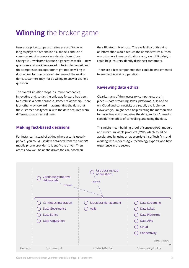# **Winning** the broker game

Insurance price comparison sites are profitable as long as players have similar risk models and use a common set of more-or-less standard questions. Change is unwelcome because it generates work — new questions and workflows need to be implemented, and the comparison site operator might not be willing to do that just for one provider. And even if the work is done, customers may not be willing to answer a single question.

The overall situation stops insurance companies innovating and, so far, the only way forward has been to establish a better brand-customer relationship. There is another way forward — augmenting the data that the customer has typed in with the data acquired from different sources in real time.

### **Making fact-based decisions**

For instance, instead of asking where a car is usually parked, you could use data obtained from the owner's mobile phone provider to identify the driver. Then, assess how well he or she drives the car, based on

their Bluetooth black box. The availability of this kind of information would reduce the administrative burden on customers in many situations and, even if it didn't, it could help insurers identify dishonest customers.

There are a few components that could be implemented to enable this sort of operation.

### **Reviewing data ethics**

Clearly, many of the necessary components are in place — data streaming, lakes, platforms, APIs and so on. Cloud and connectivity are readily available too. However, you might need help creating the mechanisms for collecting and integrating the data, and you'll need to consider the ethics of controlling and using the data.

This might mean building proof of concept (PoC) models and minimum viable products (MVP), which could be accelerated by using an appropriate InsurTech firm and working with modern Agile technology experts who have experience in the sector.